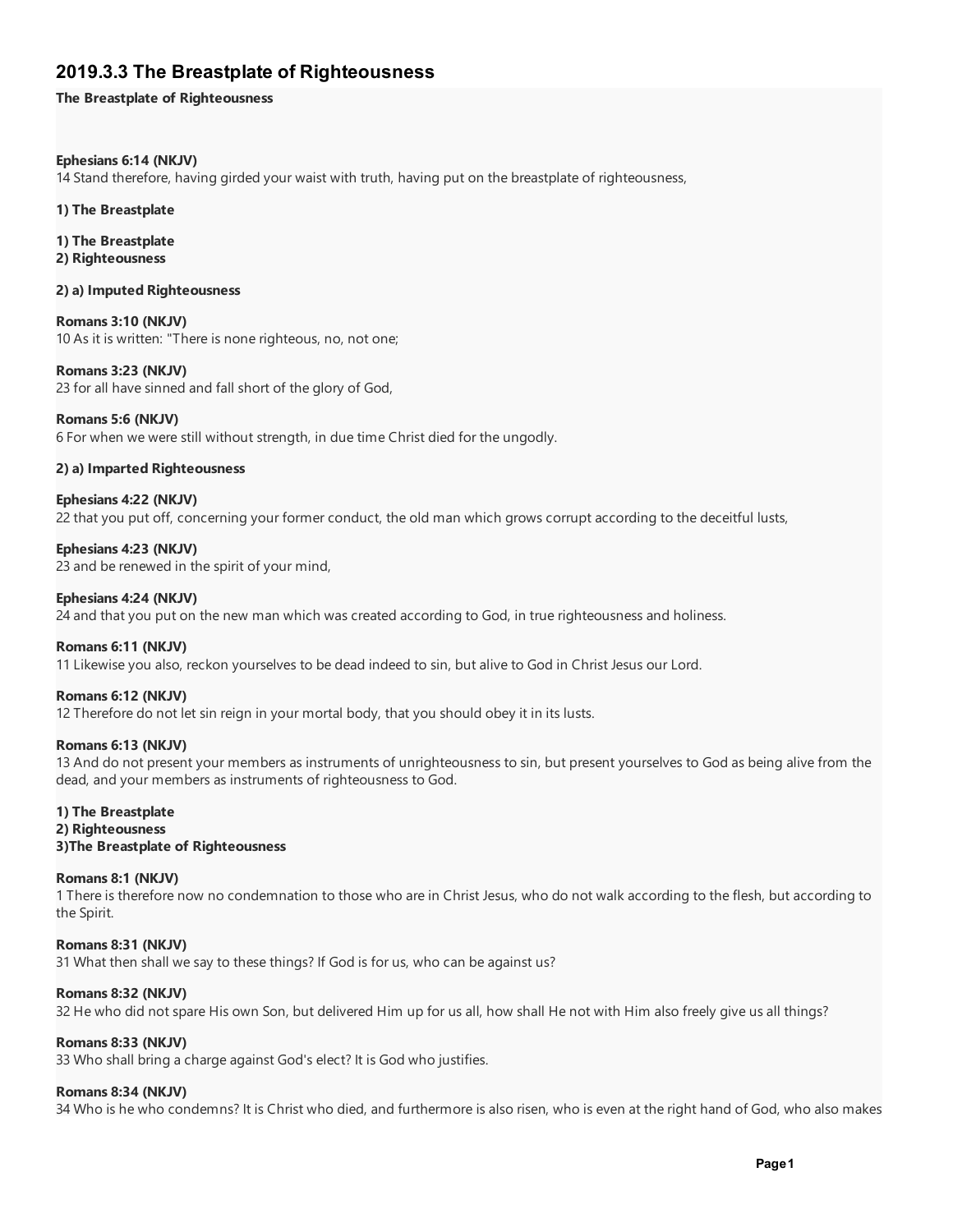# 2019.3.3 The Breastplate of Righteousness

The Breastplate of Righteousness

### Ephesians 6:14 (NKJV)

14 Stand therefore, having girded your waist with truth, having put on the breastplate of righteousness,

#### 1) The Breastplate

1) The Breastplate

#### 2) Righteousness

2) a) Imputed Righteousness

Romans 3:10 (NKJV) 10 As it is written: "There is none righteous, no, not one;

Romans 3:23 (NKJV) 23 for all have sinned and fall short of the glory of God,

# Romans 5:6 (NKJV)

6 For when we were still without strength, in due time Christ died for the ungodly.

## 2) a) Imparted Righteousness

Ephesians 4:22 (NKJV) 22 that you put off, concerning your former conduct, the old man which grows corrupt according to the deceitful lusts,

Ephesians 4:23 (NKJV) 23 and be renewed in the spirit of your mind,

#### Ephesians 4:24 (NKJV)

24 and that you put on the new man which was created according to God, in true righteousness and holiness.

#### Romans 6:11 (NKJV)

11 Likewise you also, reckon yourselves to be dead indeed to sin, but alive to God in Christ Jesus our Lord.

#### Romans 6:12 (NKJV)

12 Therefore do not let sin reign in your mortal body, that you should obey it in its lusts.

#### Romans 6:13 (NKJV)

13 And do not present your members as instruments of unrighteousness to sin, but present yourselves to God as being alive from the dead, and your members as instruments of righteousness to God.

#### 1) The Breastplate 2) Righteousness

# 3)The Breastplate of Righteousness

#### Romans 8:1 (NKJV)

1 There is therefore now no condemnation to those who are in Christ Jesus, who do not walk according to the flesh, but according to the Spirit.

Romans 8:31 (NKJV)

31 What then shall we say to these things? If God is for us, who can be against us?

# Romans 8:32 (NKJV)

32 He who did not spare His own Son, but delivered Him up for us all, how shall He not with Him also freely give us all things?

#### Romans 8:33 (NKJV)

33 Who shall bring a charge against God's elect? It is God who justifies.

# Romans 8:34 (NKJV)

34 Who is he who condemns? It is Christ who died, and furthermore is also risen, who is even at the right hand of God, who also makes